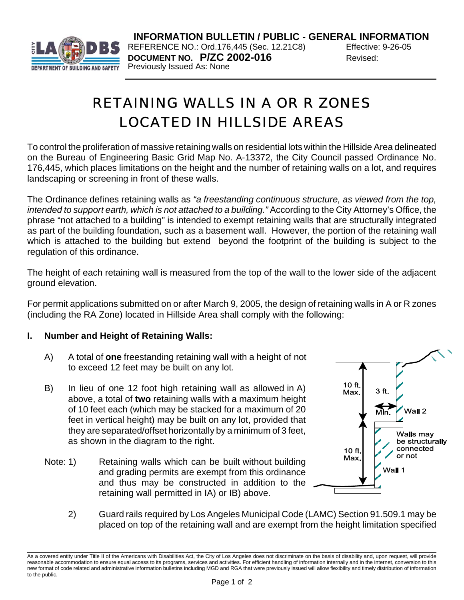

**INFORMATION BULLETIN / PUBLIC - GENERAL INFORMATION** REFERENCE NO.: Ord.176,445 (Sec. 12.21C8) Effective: 9-26-05 **DOCUMENT NO. P/ZC 2002-016** Revised: Previously Issued As: None

# RETAINING WALLS IN A OR R ZONES LOCATED IN HILLSIDE AREAS

To control the proliferation of massive retaining walls on residential lots within the Hillside Area delineated on the Bureau of Engineering Basic Grid Map No. A-13372, the City Council passed Ordinance No. 176,445, which places limitations on the height and the number of retaining walls on a lot, and requires landscaping or screening in front of these walls.

The Ordinance defines retaining walls as *"a freestanding continuous structure, as viewed from the top, intended to support earth, which is not attached to a building."* According to the City Attorney's Office, the phrase "not attached to a building" is intended to exempt retaining walls that are structurally integrated as part of the building foundation, such as a basement wall. However, the portion of the retaining wall which is attached to the building but extend beyond the footprint of the building is subject to the regulation of this ordinance.

The height of each retaining wall is measured from the top of the wall to the lower side of the adjacent ground elevation.

For permit applications submitted on or after March 9, 2005, the design of retaining walls in A or R zones (including the RA Zone) located in Hillside Area shall comply with the following:

# **I. Number and Height of Retaining Walls:**

- A) A total of **one** freestanding retaining wall with a height of not to exceed 12 feet may be built on any lot.
- B) In lieu of one 12 foot high retaining wall as allowed in A) above, a total of **two** retaining walls with a maximum height of 10 feet each (which may be stacked for a maximum of 20 feet in vertical height) may be built on any lot, provided that they are separated/offset horizontally by a minimum of 3 feet, as shown in the diagram to the right.
- Note: 1) Retaining walls which can be built without building and grading permits are exempt from this ordinance and thus may be constructed in addition to the retaining wall permitted in IA) or IB) above.



2) Guard rails required by Los Angeles Municipal Code (LAMC) Section 91.509.1 may be placed on top of the retaining wall and are exempt from the height limitation specified

As a covered entity under Title II of the Americans with Disabilities Act, the City of Los Angeles does not discriminate on the basis of disability and, upon request, will provide reasonable accommodation to ensure equal access to its programs, services and activities. For efficient handling of information internally and in the internet, conversion to this new format of code related and administrative information bulletins including MGD and RGA that were previously issued will allow flexibility and timely distribution of information to the public.